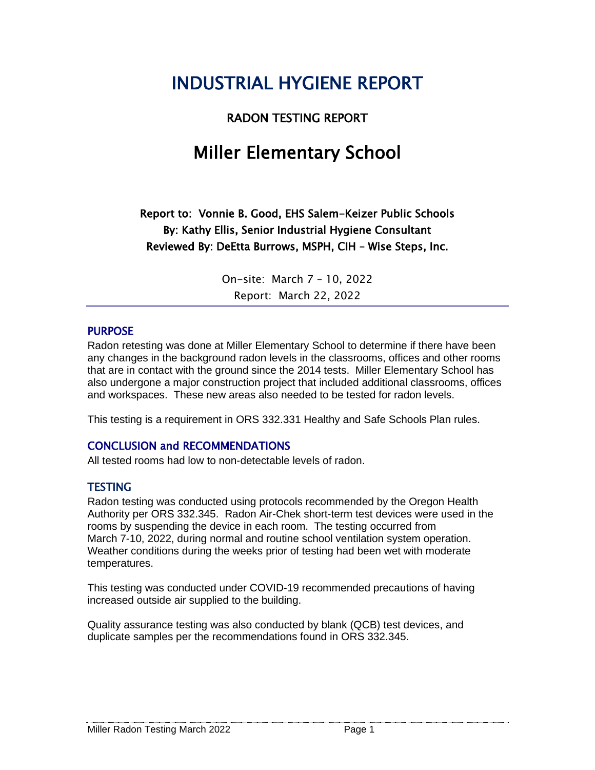# INDUSTRIAL HYGIENE REPORT

RADON TESTING REPORT

# Miller Elementary School

Report to: Vonnie B. Good, EHS Salem-Keizer Public Schools By: Kathy Ellis, Senior Industrial Hygiene Consultant Reviewed By: DeEtta Burrows, MSPH, CIH – Wise Steps, Inc.

> On-site: March 7 – 10, 2022 Report: March 22, 2022

#### PURPOSE

Radon retesting was done at Miller Elementary School to determine if there have been any changes in the background radon levels in the classrooms, offices and other rooms that are in contact with the ground since the 2014 tests. Miller Elementary School has also undergone a major construction project that included additional classrooms, offices and workspaces. These new areas also needed to be tested for radon levels.

This testing is a requirement in ORS 332.331 Healthy and Safe Schools Plan rules.

#### CONCLUSION and RECOMMENDATIONS

All tested rooms had low to non-detectable levels of radon.

#### **TESTING**

Radon testing was conducted using protocols recommended by the Oregon Health Authority per ORS 332.345. Radon Air-Chek short-term test devices were used in the rooms by suspending the device in each room. The testing occurred from March 7-10, 2022, during normal and routine school ventilation system operation. Weather conditions during the weeks prior of testing had been wet with moderate temperatures.

This testing was conducted under COVID-19 recommended precautions of having increased outside air supplied to the building.

Quality assurance testing was also conducted by blank (QCB) test devices, and duplicate samples per the recommendations found in ORS 332.345.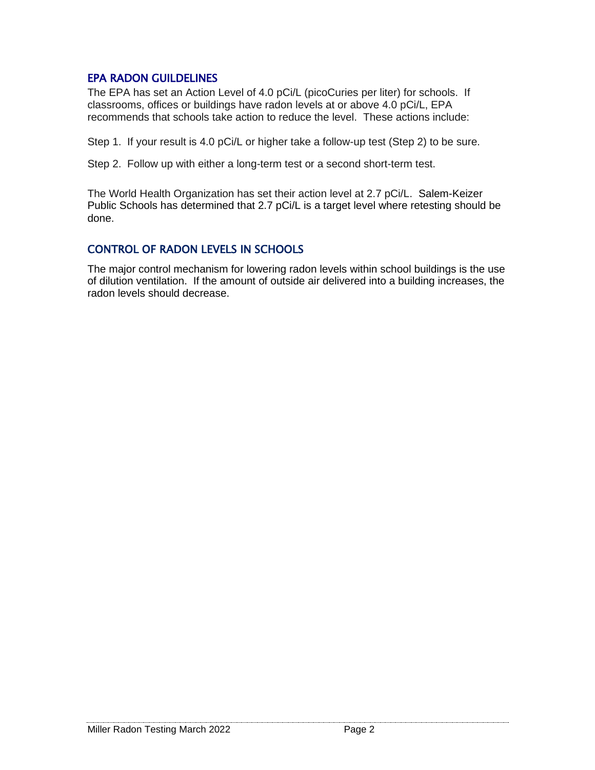#### EPA RADON GUILDELINES

The EPA has set an Action Level of 4.0 pCi/L (picoCuries per liter) for schools. If classrooms, offices or buildings have radon levels at or above 4.0 pCi/L, EPA recommends that schools take action to reduce the level. These actions include:

Step 1. If your result is 4.0 pCi/L or higher take a follow-up test (Step 2) to be sure.

Step 2. Follow up with either a long-term test or a second short-term test.

The World Health Organization has set their action level at 2.7 pCi/L. Salem-Keizer Public Schools has determined that 2.7 pCi/L is a target level where retesting should be done.

#### CONTROL OF RADON LEVELS IN SCHOOLS

The major control mechanism for lowering radon levels within school buildings is the use of dilution ventilation. If the amount of outside air delivered into a building increases, the radon levels should decrease.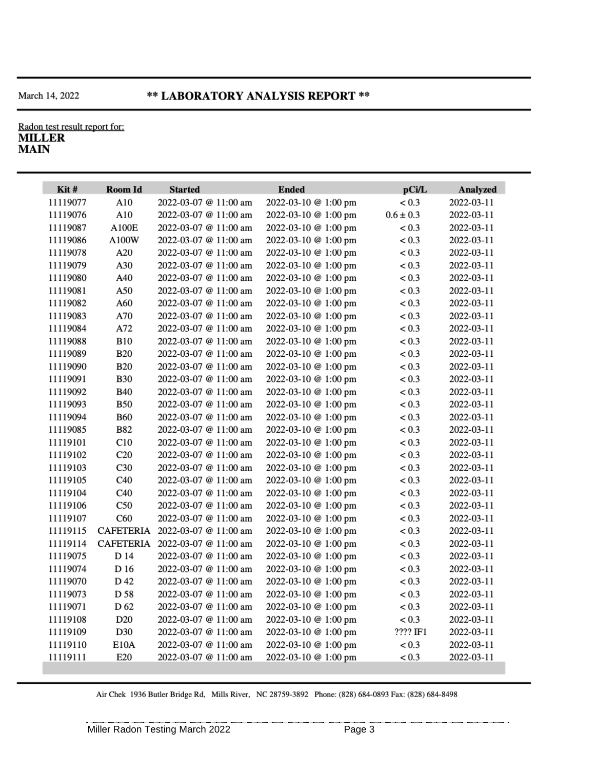#### Radon test result report for: **MILLER MAIN**

| Kit#     | Room Id          | <b>Started</b>        | <b>Ended</b>         | pCi/L         | <b>Analyzed</b> |
|----------|------------------|-----------------------|----------------------|---------------|-----------------|
| 11119077 | A10              | 2022-03-07 @ 11:00 am | 2022-03-10 @ 1:00 pm | < 0.3         | 2022-03-11      |
| 11119076 | A10              | 2022-03-07 @ 11:00 am | 2022-03-10 @ 1:00 pm | $0.6 \pm 0.3$ | 2022-03-11      |
| 11119087 | <b>A100E</b>     | 2022-03-07 @ 11:00 am | 2022-03-10 @ 1:00 pm | < 0.3         | 2022-03-11      |
| 11119086 | A100W            | 2022-03-07 @ 11:00 am | 2022-03-10 @ 1:00 pm | < 0.3         | 2022-03-11      |
| 11119078 | A20              | 2022-03-07 @ 11:00 am | 2022-03-10 @ 1:00 pm | < 0.3         | 2022-03-11      |
| 11119079 | A30              | 2022-03-07 @ 11:00 am | 2022-03-10 @ 1:00 pm | < 0.3         | 2022-03-11      |
| 11119080 | A40              | 2022-03-07 @ 11:00 am | 2022-03-10 @ 1:00 pm | < 0.3         | 2022-03-11      |
| 11119081 | A50              | 2022-03-07 @ 11:00 am | 2022-03-10 @ 1:00 pm | < 0.3         | 2022-03-11      |
| 11119082 | A60              | 2022-03-07 @ 11:00 am | 2022-03-10 @ 1:00 pm | < 0.3         | 2022-03-11      |
| 11119083 | A70              | 2022-03-07 @ 11:00 am | 2022-03-10 @ 1:00 pm | < 0.3         | 2022-03-11      |
| 11119084 | A72              | 2022-03-07 @ 11:00 am | 2022-03-10 @ 1:00 pm | < 0.3         | 2022-03-11      |
| 11119088 | <b>B10</b>       | 2022-03-07 @ 11:00 am | 2022-03-10 @ 1:00 pm | < 0.3         | 2022-03-11      |
| 11119089 | <b>B20</b>       | 2022-03-07 @ 11:00 am | 2022-03-10 @ 1:00 pm | < 0.3         | 2022-03-11      |
| 11119090 | <b>B20</b>       | 2022-03-07 @ 11:00 am | 2022-03-10 @ 1:00 pm | < 0.3         | 2022-03-11      |
| 11119091 | <b>B30</b>       | 2022-03-07 @ 11:00 am | 2022-03-10 @ 1:00 pm | < 0.3         | 2022-03-11      |
| 11119092 | <b>B40</b>       | 2022-03-07 @ 11:00 am | 2022-03-10 @ 1:00 pm | < 0.3         | 2022-03-11      |
| 11119093 | <b>B50</b>       | 2022-03-07 @ 11:00 am | 2022-03-10 @ 1:00 pm | < 0.3         | 2022-03-11      |
| 11119094 | <b>B60</b>       | 2022-03-07 @ 11:00 am | 2022-03-10 @ 1:00 pm | < 0.3         | 2022-03-11      |
| 11119085 | <b>B82</b>       | 2022-03-07 @ 11:00 am | 2022-03-10 @ 1:00 pm | < 0.3         | 2022-03-11      |
| 11119101 | C10              | 2022-03-07 @ 11:00 am | 2022-03-10 @ 1:00 pm | < 0.3         | 2022-03-11      |
| 11119102 | C20              | 2022-03-07 @ 11:00 am | 2022-03-10 @ 1:00 pm | < 0.3         | 2022-03-11      |
| 11119103 | C <sub>30</sub>  | 2022-03-07 @ 11:00 am | 2022-03-10 @ 1:00 pm | < 0.3         | 2022-03-11      |
| 11119105 | C40              | 2022-03-07 @ 11:00 am | 2022-03-10 @ 1:00 pm | < 0.3         | 2022-03-11      |
| 11119104 | C40              | 2022-03-07 @ 11:00 am | 2022-03-10 @ 1:00 pm | < 0.3         | 2022-03-11      |
| 11119106 | C50              | 2022-03-07 @ 11:00 am | 2022-03-10 @ 1:00 pm | < 0.3         | 2022-03-11      |
| 11119107 | C60              | 2022-03-07 @ 11:00 am | 2022-03-10 @ 1:00 pm | < 0.3         | 2022-03-11      |
| 11119115 | <b>CAFETERIA</b> | 2022-03-07 @ 11:00 am | 2022-03-10 @ 1:00 pm | < 0.3         | 2022-03-11      |
| 11119114 | <b>CAFETERIA</b> | 2022-03-07 @ 11:00 am | 2022-03-10 @ 1:00 pm | < 0.3         | 2022-03-11      |
| 11119075 | D 14             | 2022-03-07 @ 11:00 am | 2022-03-10 @ 1:00 pm | < 0.3         | 2022-03-11      |
| 11119074 | D 16             | 2022-03-07 @ 11:00 am | 2022-03-10 @ 1:00 pm | < 0.3         | 2022-03-11      |
| 11119070 | D 42             | 2022-03-07 @ 11:00 am | 2022-03-10 @ 1:00 pm | < 0.3         | 2022-03-11      |
| 11119073 | D 58             | 2022-03-07 @ 11:00 am | 2022-03-10 @ 1:00 pm | < 0.3         | 2022-03-11      |
| 11119071 | D <sub>62</sub>  | 2022-03-07 @ 11:00 am | 2022-03-10 @ 1:00 pm | < 0.3         | 2022-03-11      |
| 11119108 | D <sub>20</sub>  | 2022-03-07 @ 11:00 am | 2022-03-10 @ 1:00 pm | < 0.3         | 2022-03-11      |
| 11119109 | D30              | 2022-03-07 @ 11:00 am | 2022-03-10 @ 1:00 pm | ???? IF1      | 2022-03-11      |
| 11119110 | E10A             | 2022-03-07 @ 11:00 am | 2022-03-10 @ 1:00 pm | < 0.3         | 2022-03-11      |
| 11119111 | E20              | 2022-03-07 @ 11:00 am | 2022-03-10 @ 1:00 pm | < 0.3         | 2022-03-11      |

Air Chek 1936 Butler Bridge Rd, Mills River, NC 28759-3892 Phone: (828) 684-0893 Fax: (828) 684-8498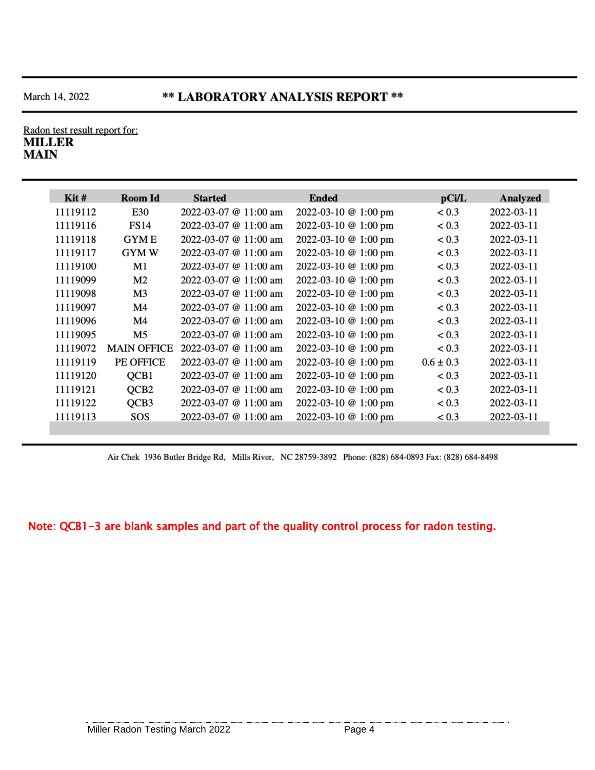### \*\* LABORATORY ANALYSIS REPORT \*\*

#### Radon test result report for: **MILLER MAIN**

| $\operatorname{Kit}$ # | <b>Room Id</b>     | <b>Started</b>              | <b>Ended</b>         | pCi/L         | Analyzed   |
|------------------------|--------------------|-----------------------------|----------------------|---------------|------------|
| 11119112               | E30                | 2022-03-07 @ 11:00 am       | 2022-03-10 @ 1:00 pm | < 0.3         | 2022-03-11 |
| 11119116               | FS14               | 2022-03-07 @ $11:00$ am     | 2022-03-10 @ 1:00 pm | < 0.3         | 2022-03-11 |
| 11119118               | <b>GYME</b>        | 2022-03-07 @ $11:00$ am     | 2022-03-10 @ 1:00 pm | < 0.3         | 2022-03-11 |
| 11119117               | <b>GYMW</b>        | 2022-03-07 @ 11:00 am       | 2022-03-10 @ 1:00 pm | < 0.3         | 2022-03-11 |
| 11119100               | M1                 | $2022 - 03 - 07$ @ 11:00 am | 2022-03-10 @ 1:00 pm | < 0.3         | 2022-03-11 |
| 11119099               | M <sub>2</sub>     | 2022-03-07 @ $11:00$ am     | 2022-03-10 @ 1:00 pm | < 0.3         | 2022-03-11 |
| 11119098               | M3                 | 2022-03-07 @ 11:00 am       | 2022-03-10 @ 1:00 pm | < 0.3         | 2022-03-11 |
| 11119097               | M4                 | $2022 - 03 - 07$ @ 11:00 am | 2022-03-10 @ 1:00 pm | < 0.3         | 2022-03-11 |
| 11119096               | M4                 | 2022-03-07 @ 11:00 am       | 2022-03-10 @ 1:00 pm | < 0.3         | 2022-03-11 |
| 11119095               | M5                 | 2022-03-07 $@11:00$ am      | 2022-03-10 @ 1:00 pm | < 0.3         | 2022-03-11 |
| 11119072               | <b>MAIN OFFICE</b> | 2022-03-07 @ 11:00 am       | 2022-03-10 @ 1:00 pm | < 0.3         | 2022-03-11 |
| 11119119               | PE OFFICE          | 2022-03-07 @ 11:00 am       | 2022-03-10 @ 1:00 pm | $0.6 \pm 0.3$ | 2022-03-11 |
| 11119120               | QCB1               | 2022-03-07 @ 11:00 am       | 2022-03-10 @ 1:00 pm | < 0.3         | 2022-03-11 |
| 11119121               | OCB <sub>2</sub>   | 2022-03-07 @ 11:00 am       | 2022-03-10 @ 1:00 pm | < 0.3         | 2022-03-11 |
| 11119122               | QCB3               | 2022-03-07 @ 11:00 am       | 2022-03-10 @ 1:00 pm | < 0.3         | 2022-03-11 |
| 11119113               | SOS                | 2022-03-07 @ 11:00 am       | 2022-03-10 @ 1:00 pm | < 0.3         | 2022-03-11 |

Air Chek 1936 Butler Bridge Rd, Mills River, NC 28759-3892 Phone: (828) 684-0893 Fax: (828) 684-8498

#### Note: QCB1-3 are blank samples and part of the quality control process for radon testing.